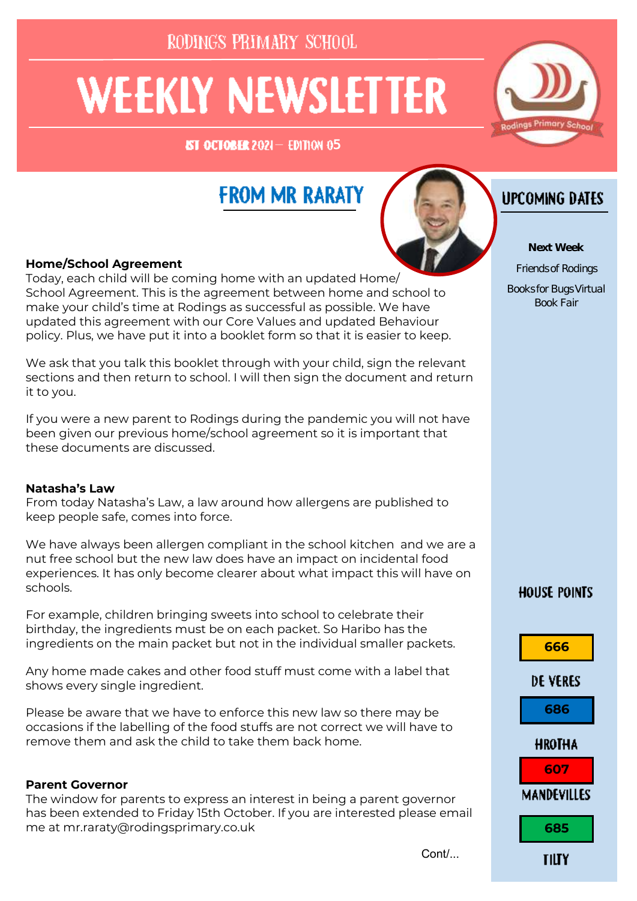RODINGS PRIMARY SCHOOL

# **WEEKLY NEWSLETTER**

**IST OCTOBER 2021 - EDITION 05** 



### **FROM MR RARATY**



Cont/

#### **Home/School Agreement**

Today, each child will be coming home with an updated Home/ School Agreement. This is the agreement between home and school to make your child's time at Rodings as successful as possible. We have updated this agreement with our Core Values and updated Behaviour policy. Plus, we have put it into a booklet form so that it is easier to keep.

We ask that you talk this booklet through with your child, sign the relevant sections and then return to school. I will then sign the document and return it to you.

If you were a new parent to Rodings during the pandemic you will not have been given our previous home/school agreement so it is important that these documents are discussed.

#### **Natasha's Law**

From today Natasha's Law, a law around how allergens are published to keep people safe, comes into force.

We have always been allergen compliant in the school kitchen and we are a nut free school but the new law does have an impact on incidental food experiences. It has only become clearer about what impact this will have on schools.

For example, children bringing sweets into school to celebrate their birthday, the ingredients must be on each packet. So Haribo has the ingredients on the main packet but not in the individual smaller packets.

Any home made cakes and other food stuff must come with a label that shows every single ingredient.

Please be aware that we have to enforce this new law so there may be occasions if the labelling of the food stuffs are not correct we will have to remove them and ask the child to take them back home.

#### **Parent Governor**

The window for parents to express an interest in being a parent governor has been extended to Friday 15th October. If you are interested please email me at mr.raraty@rodingsprimary.co.uk

**UPCOMING DATES** 

**Next Week** Friends of Rodings Books for Bugs Virtual Book Fair

### **HOUSE POINTS**

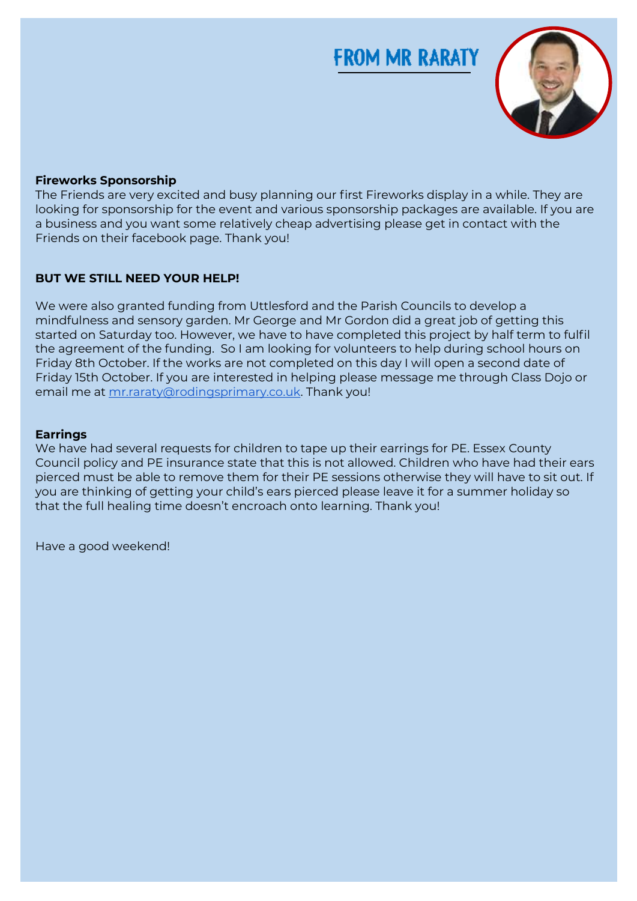### **FROM MR RARATY**



### **Fireworks Sponsorship**

The construction was also proved using the many gramming to an interval comparison to many constructions in the<br>looking for sponsorship for the event and various sponsorship packages are available. If you are renting for eponoorally for allot of our alla rathe as eponoorally packages are aralization you.<br>a business and you want some relatively cheap advertising please get in contact with the a basiness and you mandonned to abandone abandoned duming product goes. To these man and then the start for the<br>Friends on their facebook page. Thank you! Covid on the months last Saturday, 18 months later than scheduled, the works began and what and what and what a The Friends are very excited and busy planning our first Fireworks display in a while. They are

#### there. Thank you to the Roundtable for all the Roundtable for all the Roundtable for all the Roundtable for all the Roundtable for all the Roundtable for all the Roundtable for all the Roundtable for all the Roundtable for

mindfulness and sensory garden. Mr George and Mr Gordon did a great job of getting this the agreement of the funding. So I am looking for volunteers to help during school hours on Friday 8th October. If the works are not completed on this day I will open a second date of Friday 15th October. If you are interested in helping please message me through Class Dojo or email me at [mr.raraty@rodingsprimary.co.uk.](mailto:mr.raraty@rodingsprimary.co.uk) Thank you! hours o<del>n Friday 8th October. If the works are no</del>t completed on this day I will open a second on this day I will open a<br>I will open a second on this day I will open a second on the will open a second on the will open a se We were also granted funding from Uttlesford and the Parish Councils to develop a started on Saturday too. However, we have to have completed this project by half term to fulfil

#### Class Dojo or email me at [mr.raraty@rodingsprimary.co.uk.](mailto:mr.raraty@rodingsprimary.co.uk) Thank you! **Earrings**

**Nut Allergies** you are thinking of getting your child's ears pierced please leave it for a summer holiday so that the full healing time doesn't encroach onto learning. Thank you!<br>. We have had several requests for children to tape up their earrings for PE. Essex County Council policy and PE insurance state that this is not allowed. Children who have had their ears pierced must be able to remove them for their PE sessions otherwise they will have to sit out. If

because they contained nuts, mainly in cereal and chocolate bars. Allergic reactions can Have a good weekend!happen in seconds and I don't want to be reported and I don't want to be reported a tragic incident. Thank you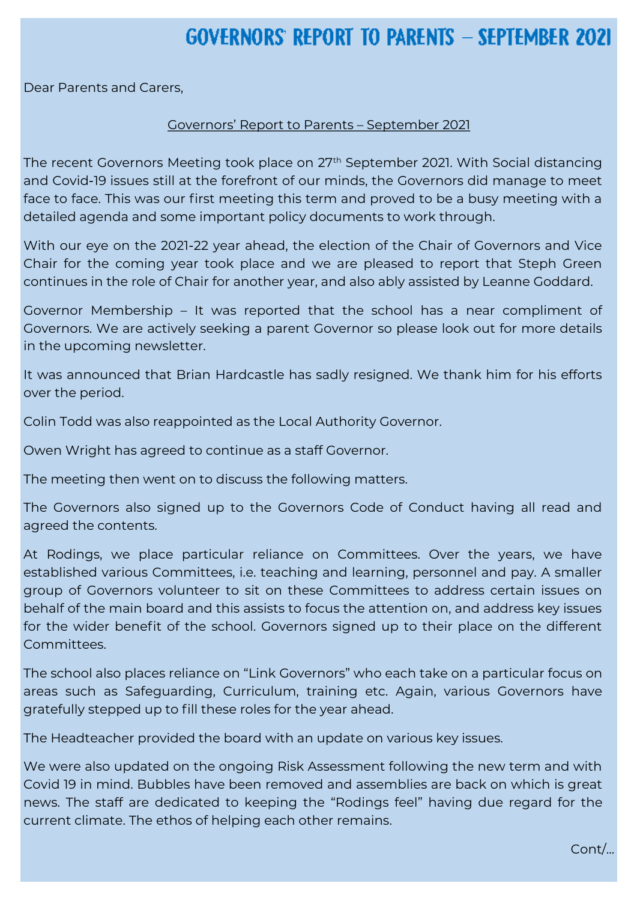### GOVERNORS' REPORT TO PARENTS - SEPTEMBER 202

Dear Parents and Carers,

#### Governors' Report to Parents – September 2021

and Covid-19 issues still at the forefront of our minds, the Governors did manage to meet face to face. This was our first meeting this term and proved to be a busy meeting with a detailed agenda and some important policy documents to work through.  $\qquad \qquad \qquad$ The recent Governors Meeting took place on 27<sup>th</sup> September 2021. With Social distancing

With our eye on the 2021-22 year ahead, the election of the Chair of Governors and Vice Chair for the coming year took place and we are pleased to report that Steph Green tinues in the rele of Chair for another your and also ably assisted by Leanne Godd continues in the role of Chair for another year, and also ably assisted by Leanne Goddard.<br>.

Governor Membership – It was reported that the school has a near compliment of in the upcoming newsletter. The Parish Councils to develop and the Parish Councils to develop a council storag Governors. We are actively seeking a parent Governor so please look out for more details

It was announced that Brian Hardcastle has sadly resigned. We thank him for his efforts  $f$  the netial the funding funding. So I am looking for volunteers to  $\mathcal{L}_f$  and  $\mathcal{L}_f$  during school  $\mathcal{L}_f$ hours on Friday 8th October. If the works are not completed on this day I will open a second on this day I will open a second over the period.

date of Friday 15th October. In the Interest of Interest message message message message message message messa<br>In the India please message message message message message message message message message message message me class Do in the method or employment we are the sprimary.co.uk. Thank you in the contract  $\mathcal{L}$ Colin Todd was also reappointed as the Local Authority Governor.

Owen Wright has agreed to continue as a staff Governor.

The meeting then went on to discuss the following matters.<br>```

The Governors also signed up to the Governors Code of Conduct having all read and agreed the contents. In recent we had to remove for  $\alpha$  items from children's lunch boxes  $\alpha$  is lunch boxes in  $\alpha$ 

At Rodings, we place particular reliance on Committees. Over the years, we have established various Committees, i.e. teaching and learning, personnel and pay. A smaller behalf of the main board and this assists to focus the attention on, and address key issues group of Governors volunteer to sit on these Committees to address certain issues on for the wider benefit of the school. Governors signed up to their place on the different Committees.

The school also places reliance on "Link Governors" who each take on a particular focus on areas such as Safeguarding, Curriculum, training etc. Again, various Governors have gratefully stepped up to fill these roles for the year ahead.

The Headteacher provided the board with an update on various key issues.

We were also updated on the ongoing Risk Assessment following the new term and with Covid 19 in mind. Bubbles have been removed and assemblies are back on which is great news. The staff are dedicated to keeping the "Rodings feel" having due regard for the current climate. The ethos of helping each other remains.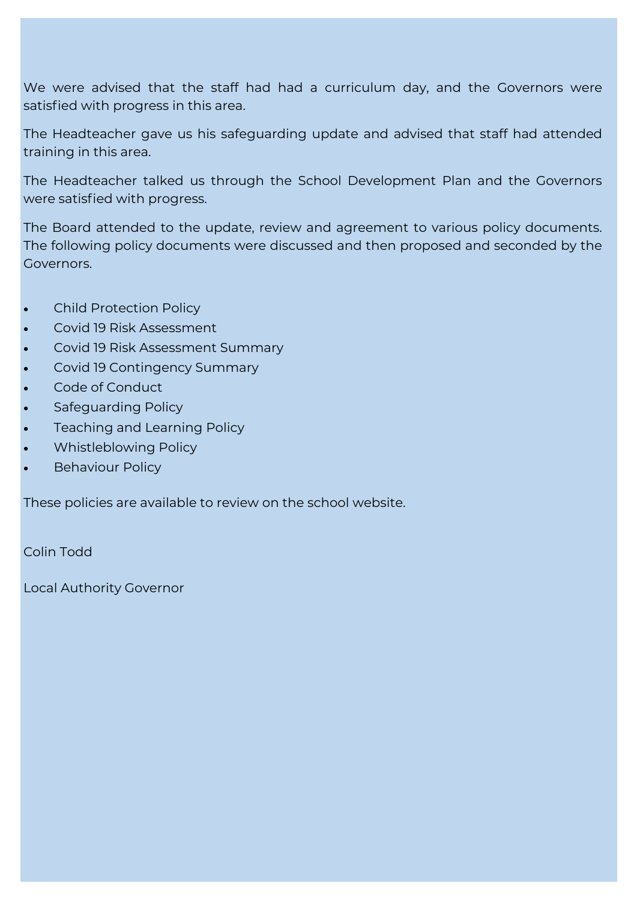We were advised that the staff had had a curriculum day, and the Governors were satisfied with progress in this area.

The Headteacher gave us his safeguarding update and advised that staff had attended training in this area.

The Headteacher talked us through the School Development Plan and the Governors were satisfied with progress. The very kindly granted us a request for funding to  $\sim$ 

renovate our school allotment. They also promised a band of volunteers to help start the The Board attended to the update, review and agreement to various policy documents. The following policy documents were discussed and then proposed and seconded by the difference it has made to the look of the allotment. It has made to the allotment  $\alpha$ Governors.

- Child Protection Policy
- **BUT WE STILL NEED YOUR HELP!** Covid 19 Risk Assessment
- **We were also grantsdord and the Parish Councils to develop and the Parish Councils to develop a council summary**
- $m \geq 1$  mindfulness and  $\sigma$  garden. Mr Gordon did a great job of getting this great job of getting this great job of getting this great job of getting this great job of getting this great job of getting this great job o  $\bullet$  Covid 19 Contingency Summary completed this project by half term to half term to half term to half term to half term to half term to half term to half term to half term to half term to half term to half term to half
- $\bullet$   $\bullet$   $\bullet$  Code of Conduct $\bullet$  is the funding for volunteers to help during school  $\bullet$  . So I am looking school  $\bullet$
- hours on Friday 8th October. If the works are not completed on this day I will open a second Safeguarding Policy date of Friday 15th October. If you are interested in helping please message message message message message m
- $\bullet$  Domingspring and Learning Policy. Thank  $\bullet$  Thank you is thank you is thank you.
- Whistleblowing Policy
- Behaviour Policy

Please remember that we are a nut free school due to several children having severe nut These policies are available to review on the school website.

because they contained nuts, mainly in cereal and chocolate bars. Allergic reactions can happen in seconds and I don't want to be reported and I don't want to be reporting a tragic incident. Thank you Colin Todd

Local Authority Governor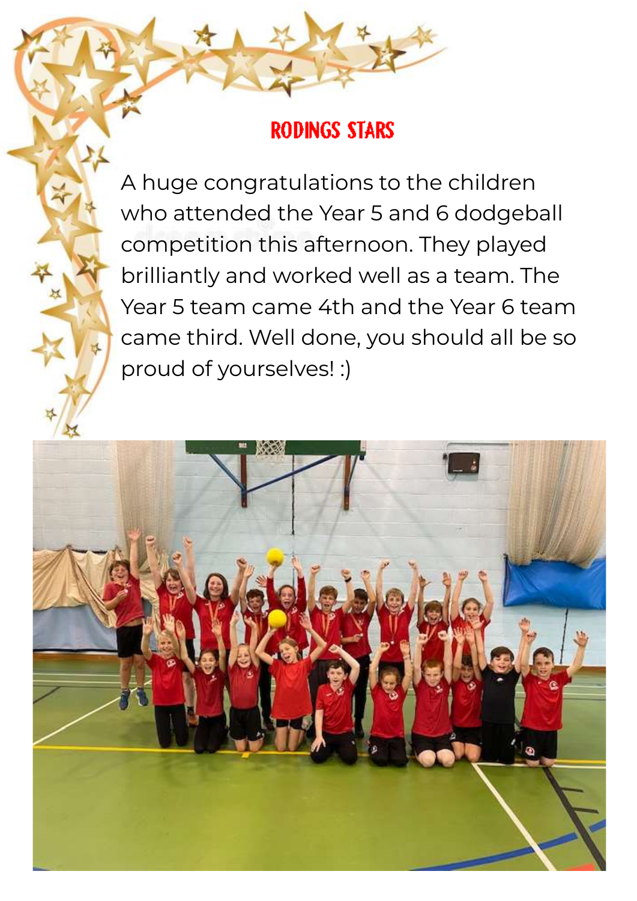### **RODINGS STARS**

**Thank You all A huge congratulations to the children**  $T_{\rm{max}}$  , which is a representable very kindly grant  $C$  and  $C$  and  $\alpha$  request for  $\alpha$ who attended the Year 5 and 6 dodgeball renovation. The first date for work to start had to be abandoned due to torrential rain. Then **COVID hits afternoon. They played**  $d_{\mathcal{M}}$  is the allotment. It has made to the allotment. It is not getting finished but we are getting finished but we are getting finished but we are getting finished but we are getting finished but we are getting for  $\bullet$  Thanks in the Round worked well as a team. The  $\bullet$ can't wait for the first lot of fruit and vegetables to be harvested. The first lot of  $\alpha$ **BUT WE STILL NEED YEAR STILL NEED AND RELEASE STEAM CAME 4th and the Year 6 team We were also granted funding from Utils Councils Councils to develop and the Sould all be so**  $\sim$  Mr George and sensory garden. Mr Gordon did a great job of getting this great job of getting this great job of getting this great job of getting this great job of getting the sensory great intervals of getting the se  $\mathbb{Z}$  proud of yourselves! :) fulfil the agreement of the agreement of the funding. So I am looking for volume schools are seen to help during schools and the schools of the funding schools are seen to help during schools are seen to help during school brilliantly and worked well as a team. The



 $\mathcal{N}$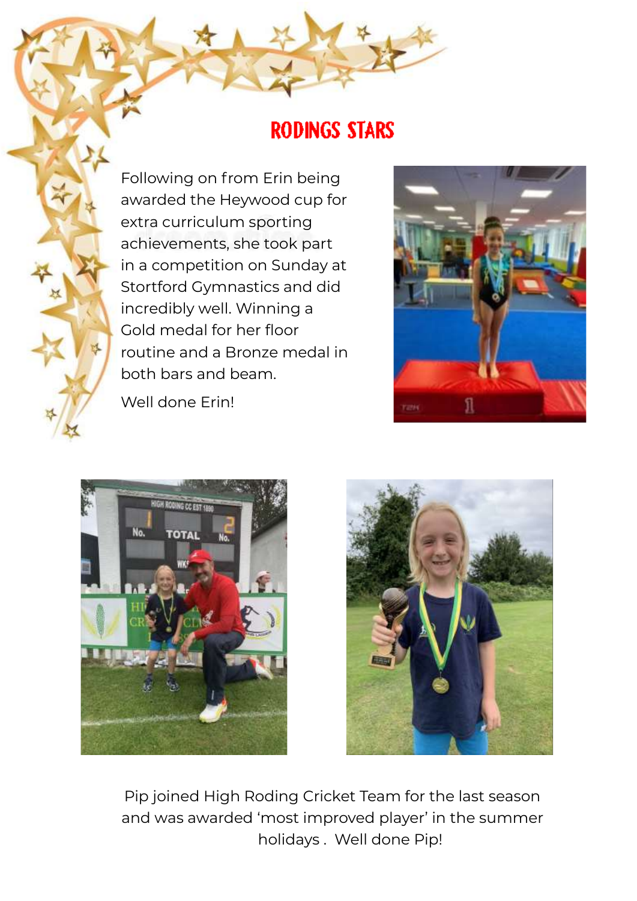### **RODINGS STARS**

**Thank You Following on from Erin being** Two awarded the Heywood cup for funding to the funding to  $\sim$ renovative our school allows promised a band of volunteers to help start the start the start the start the start the start the start the start the start the start the start the start the start the start the start the start renovation. The first date for work to start to torrent to the first date for work to torrent the first date for COVID his achievements, she took part what a state what a state when scheduled, the what a state when  $\mathbb{R}$ in a competition on Sunday at **in the allotment. It's not getting the area getting of the allotment.** the Roundtable for all the Roundtable for all the Roundtable for all the Roundtable for all the Roundtable for **Exhibit** Stortford Gymnastics and did **BUT STILL INCREDIBLY WELL. Winning a**  $W_{\text{M}}$  were and a Proper model in  $W_{\text{M}}$ and a Bronze medal in a great in this could be a great this could be a great this could be a great this could be a great this could be a great thing of great in the could be a great thing of great in the could be a great t started on Saturday too. However, we have to have to have to have to have to have to half this project by half term to have to half this project by half term to have to have to half this project by half this project by hal fulfil the agreement of the agreement of the funding for volunteers to help during school and the funding school and Gold medal for her floor







Pip joined High Roding Cricket Team for the last season and was awarded 'most improved player' in the summer holidays . Well done Pip!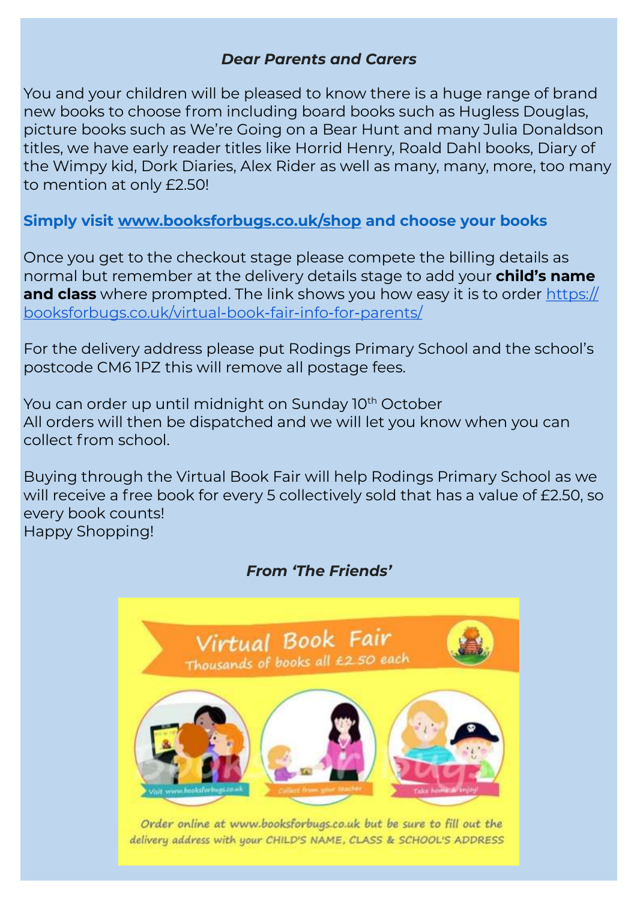### *Dear Parents and Carers*

You and your children will be pleased to know there is a huge range of brand new books to choose from including board books such as Hugless Douglas, picture books such as We're Going on a Bear Hunt and many Julia Donaldson titles, we have early reader titles like Horrid Henry, Roald Dahl books, Diary of the Wimpy kid, Dork Diaries, Alex Rider as well as many, many, more, too many to mention at only £2.50!

**Simply visit [www.booksforbugs.co.uk/shop](http://www.booksforbugs.co.uk/shop) and choose your books**

Once you get to the checkout stage please compete the billing details as normal but remember at the delivery details stage to add your **child's name and class** where prompted. The link shows you how easy it is to order [https://](https://booksforbugs.co.uk/virtual-book-fair-info-for-parents/) [booksforbugs.co.uk/virtual-book-fair-info-for-parents/](https://booksforbugs.co.uk/virtual-book-fair-info-for-parents/)

For the delivery address please put Rodings Primary School and the school's postcode CM6 1PZ this will remove all postage fees.

You can order up until midnight on Sunday 10<sup>th</sup> October All orders will then be dispatched and we will let you know when you can collect from school.

Buying through the Virtual Book Fair will help Rodings Primary School as we will receive a free book for every 5 collectively sold that has a value of £2.50, so every book counts! Happy Shopping!

### *From 'The Friends'*



Order online at www.booksforbugs.co.uk but be sure to fill out the delivery address with your CHILD'S NAME, CLASS & SCHOOL'S ADDRESS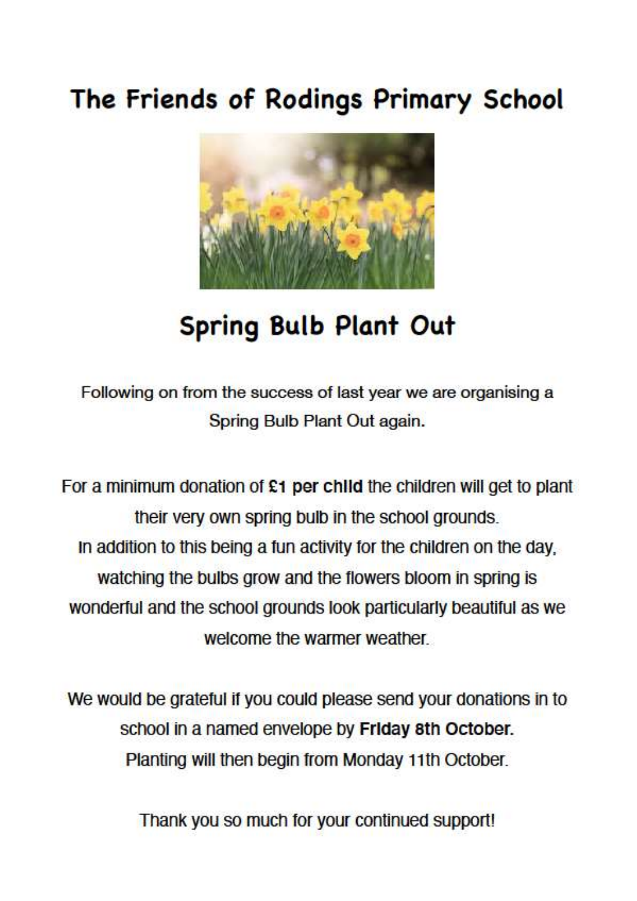## The Friends of Rodings Primary School



# **Spring Bulb Plant Out**

Following on from the success of last year we are organising a Spring Bulb Plant Out again.

For a minimum donation of  $£1$  per child the children will get to plant their very own spring bulb in the school grounds. In addition to this being a fun activity for the children on the day. watching the bulbs grow and the flowers bloom in spring is wonderful and the school grounds look particularly beautiful as we welcome the warmer weather

We would be grateful if you could please send your donations in to school in a named envelope by Friday 8th October. Planting will then begin from Monday 11th October.

Thank you so much for your continued support!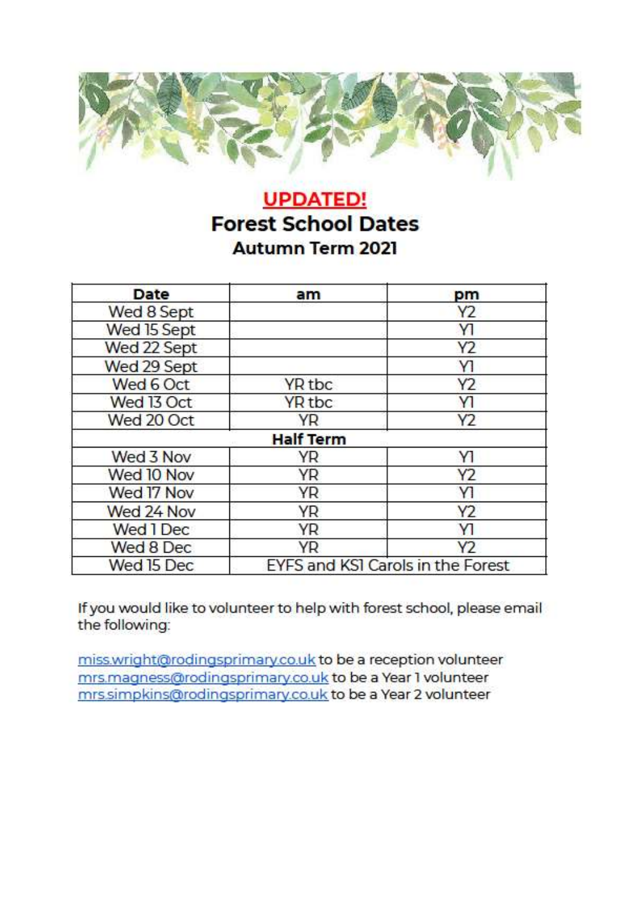

### **UPDATED! Forest School Dates** Autumn Term 2021

| Date        | am                                | pm             |
|-------------|-----------------------------------|----------------|
| Wed 8 Sept  |                                   | Y2             |
| Wed 15 Sept |                                   | Y              |
| Wed 22 Sept |                                   | Y <sub>2</sub> |
| Wed 29 Sept |                                   | Y1             |
| Wed 6 Oct   | YR tbc                            | Y2             |
| Wed 13 Oct  | YR <sub>tbc</sub>                 | Y              |
| Wed 20 Oct  | <b>YR</b>                         | Y2             |
|             | <b>Half Term</b>                  |                |
| Wed 3 Nov   | YR                                | Y1             |
| Wed 10 Nov  | YR                                | Y2             |
| Wed 17 Nov  | YR                                | Y1             |
| Wed 24 Nov  | <b>YR</b>                         | Y2             |
| Wed 1 Dec   | YR                                | Y1             |
| Wed 8 Dec   | YR.                               | Y2             |
| Wed 15 Dec  | EYFS and KSI Carols in the Forest |                |

If you would like to volunteer to help with forest school, please email the following:

miss.wright@rodingsprimary.co.uk to be a reception volunteer mrs.magness@rodingsprimary.co.uk to be a Year 1 volunteer mrs.simpkins@rodingsprimary.co.uk to be a Year 2 volunteer